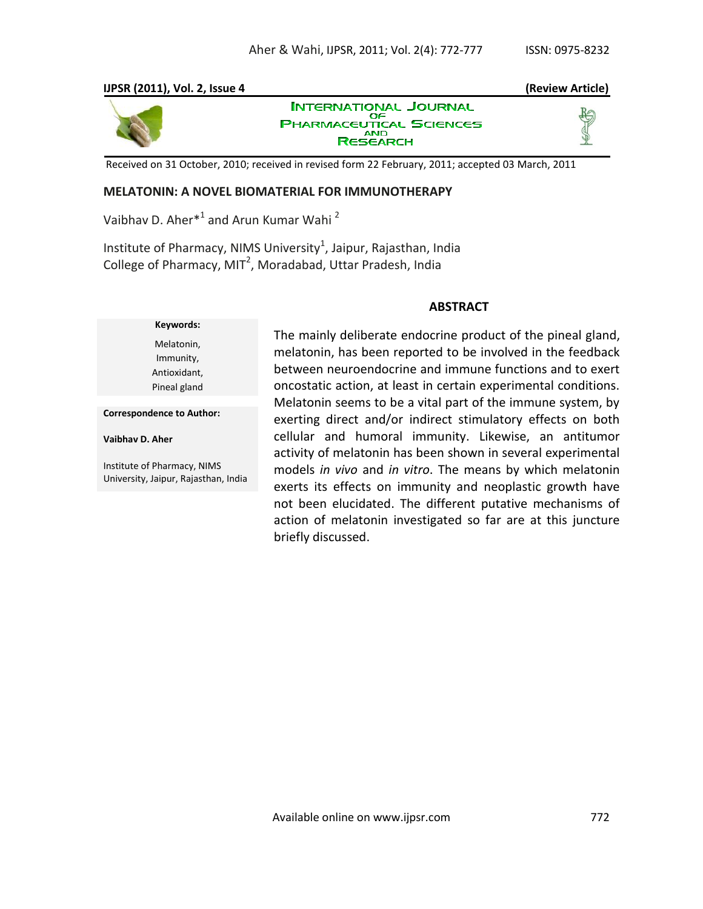# **IJPSR (2011), Vol. 2, Issue 4 (Review Article)**



**INTERNATIONAL JOURNAL** OF **PHARMACEUTICAL SCIENCES RESEARCH** 



Received on 31 October, 2010; received in revised form 22 February, 2011; accepted 03 March, 2011

# **MELATONIN: A NOVEL BIOMATERIAL FOR IMMUNOTHERAPY**

Vaibhav D. Aher<sup>\*1</sup> and Arun Kumar Wahi<sup>2</sup>

Institute of Pharmacy, NIMS University $^1$ , Jaipur, Rajasthan, India College of Pharmacy, MIT<sup>2</sup>, Moradabad, Uttar Pradesh, India

## **ABSTRACT**

# **Keywords:** Melatonin, Immunity, Antioxidant, Pineal gland

**Correspondence to Author:**

**Vaibhav D. Aher**

Institute of Pharmacy, NIMS University, Jaipur, Rajasthan, India The mainly deliberate endocrine product of the pineal gland, melatonin, has been reported to be involved in the feedback between neuroendocrine and immune functions and to exert oncostatic action, at least in certain experimental conditions. Melatonin seems to be a vital part of the immune system, by exerting direct and/or indirect stimulatory effects on both cellular and humoral immunity. Likewise, an antitumor activity of melatonin has been shown in several experimental models *in vivo* and *in vitro*. The means by which melatonin exerts its effects on immunity and neoplastic growth have not been elucidated. The different putative mechanisms of action of melatonin investigated so far are at this juncture briefly discussed.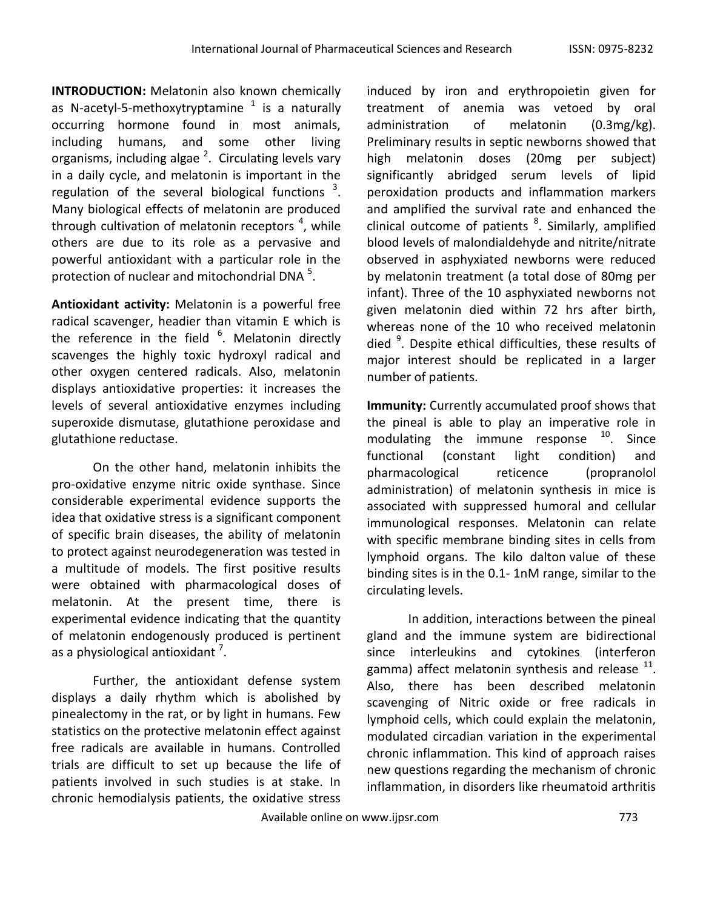**INTRODUCTION:** Melatonin also known chemically as N-acetyl-5-methoxytryptamine  $^1$  is a naturally occurring hormone found in most animals, including humans, and some other living organisms, including algae<sup>2</sup>. Circulating levels vary in a daily cycle, and melatonin is important in the regulation of the several biological functions  $3$ . Many biological effects of melatonin are produced through cultivation of melatonin receptors <sup>4</sup>, while others are due to its role as a pervasive and powerful antioxidant with a particular role in the protection of nuclear and mitochondrial DNA  $5$ .

**Antioxidant activity:** Melatonin is a powerful free radical scavenger, headier than vitamin E which is the reference in the field  $6$ . Melatonin directly scavenges the highly toxic hydroxyl radical and other oxygen centered radicals. Also, melatonin displays antioxidative properties: it increases the levels of several antioxidative enzymes including superoxide dismutase, glutathione peroxidase and glutathione reductase.

On the other hand, melatonin inhibits the pro-oxidative enzyme nitric oxide synthase. Since considerable experimental evidence supports the idea that oxidative stress is a significant component of specific brain diseases, the ability of melatonin to protect against neurodegeneration was tested in a multitude of models. The first positive results were obtained with pharmacological doses of melatonin. At the present time, there is experimental evidence indicating that the quantity of melatonin endogenously produced is pertinent as a physiological antioxidant  $^7$ .

Further, the antioxidant defense system displays a daily rhythm which is abolished by pinealectomy in the rat, or by light in humans. Few statistics on the protective melatonin effect against free radicals are available in humans. Controlled trials are difficult to set up because the life of patients involved in such studies is at stake. In chronic hemodialysis patients, the oxidative stress induced by iron and erythropoietin given for treatment of anemia was vetoed by oral administration of melatonin (0.3mg/kg). Preliminary results in septic newborns showed that high melatonin doses (20mg per subject) significantly abridged serum levels of lipid peroxidation products and inflammation markers and amplified the survival rate and enhanced the clinical outcome of patients <sup>8</sup>. Similarly, amplified blood levels of malondialdehyde and nitrite/nitrate observed in asphyxiated newborns were reduced by melatonin treatment (a total dose of 80mg per infant). Three of the 10 asphyxiated newborns not given melatonin died within 72 hrs after birth, whereas none of the 10 who received melatonin died <sup>9</sup>. Despite ethical difficulties, these results of major interest should be replicated in a larger number of patients.

**Immunity:** Currently accumulated proof shows that the pineal is able to play an imperative role in modulating the immune response  $10$ . Since functional (constant light condition) and pharmacological reticence (propranolol administration) of melatonin synthesis in mice is associated with suppressed humoral and cellular immunological responses. Melatonin can relate with specific membrane binding sites in cells from lymphoid organs. The kilo dalton value of these binding sites is in the 0.1- 1nM range, similar to the circulating levels.

In addition, interactions between the pineal gland and the immune system are bidirectional since interleukins and cytokines (interferon gamma) affect melatonin synthesis and release  $^{11}$ . Also, there has been described melatonin scavenging of Nitric oxide or free radicals in lymphoid cells, which could explain the melatonin, modulated circadian variation in the experimental chronic inflammation. This kind of approach raises new questions regarding the mechanism of chronic inflammation, in disorders like rheumatoid arthritis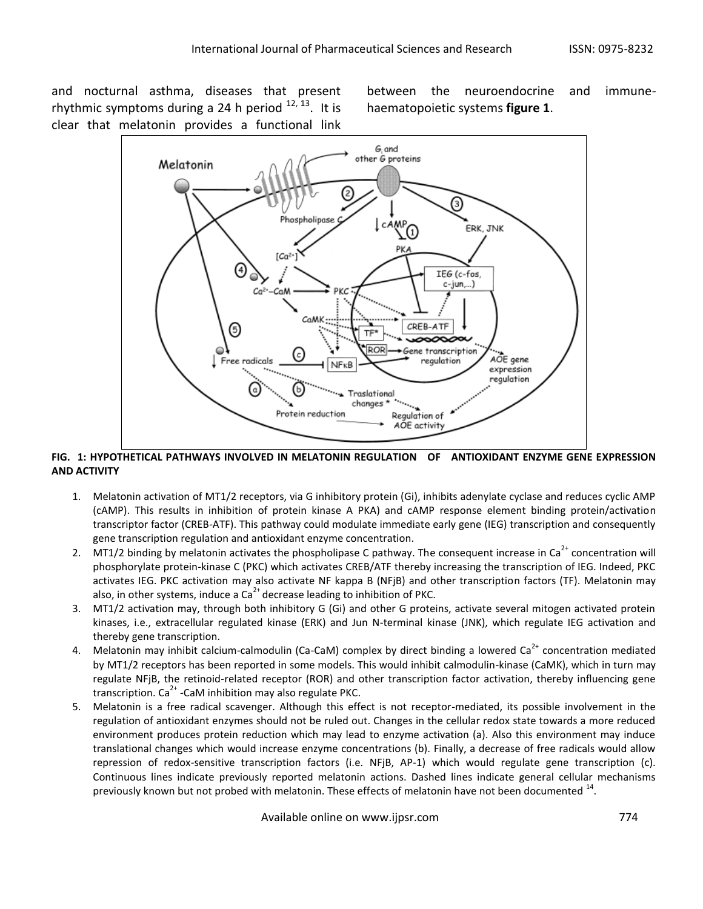and nocturnal asthma, diseases that present rhythmic symptoms during a 24 h period  $^{12, 13}$ . It is clear that melatonin provides a functional link

between the neuroendocrine and immunehaematopoietic systems **figure 1**.



## **FIG. 1: HYPOTHETICAL PATHWAYS INVOLVED IN MELATONIN REGULATION OF ANTIOXIDANT ENZYME GENE EXPRESSION AND ACTIVITY**

- 1. Melatonin activation of MT1/2 receptors, via G inhibitory protein (Gi), inhibits adenylate cyclase and reduces cyclic AMP (cAMP). This results in inhibition of protein kinase A PKA) and cAMP response element binding protein/activation transcriptor factor (CREB-ATF). This pathway could modulate immediate early gene (IEG) transcription and consequently gene transcription regulation and antioxidant enzyme concentration.
- 2. MT1/2 binding by melatonin activates the phospholipase C pathway. The consequent increase in  $Ca^{2+}$  concentration will phosphorylate protein-kinase C (PKC) which activates CREB/ATF thereby increasing the transcription of IEG. Indeed, PKC activates IEG. PKC activation may also activate NF kappa B (NFjB) and other transcription factors (TF). Melatonin may also, in other systems, induce a  $Ca<sup>2+</sup>$  decrease leading to inhibition of PKC.
- 3. MT1/2 activation may, through both inhibitory G (Gi) and other G proteins, activate several mitogen activated protein kinases, i.e., extracellular regulated kinase (ERK) and Jun N-terminal kinase (JNK), which regulate IEG activation and thereby gene transcription.
- 4. Melatonin may inhibit calcium-calmodulin (Ca-CaM) complex by direct binding a lowered Ca<sup>2+</sup> concentration mediated by MT1/2 receptors has been reported in some models. This would inhibit calmodulin-kinase (CaMK), which in turn may regulate NFjB, the retinoid-related receptor (ROR) and other transcription factor activation, thereby influencing gene transcription.  $\text{Ca}^{2+}$  -CaM inhibition may also regulate PKC.
- 5. Melatonin is a free radical scavenger. Although this effect is not receptor-mediated, its possible involvement in the regulation of antioxidant enzymes should not be ruled out. Changes in the cellular redox state towards a more reduced environment produces protein reduction which may lead to enzyme activation (a). Also this environment may induce translational changes which would increase enzyme concentrations (b). Finally, a decrease of free radicals would allow repression of redox-sensitive transcription factors (i.e. NFjB, AP-1) which would regulate gene transcription (c). Continuous lines indicate previously reported melatonin actions. Dashed lines indicate general cellular mechanisms previously known but not probed with melatonin. These effects of melatonin have not been documented  $^{14}$ .

Available online on www.ijpsr.com 774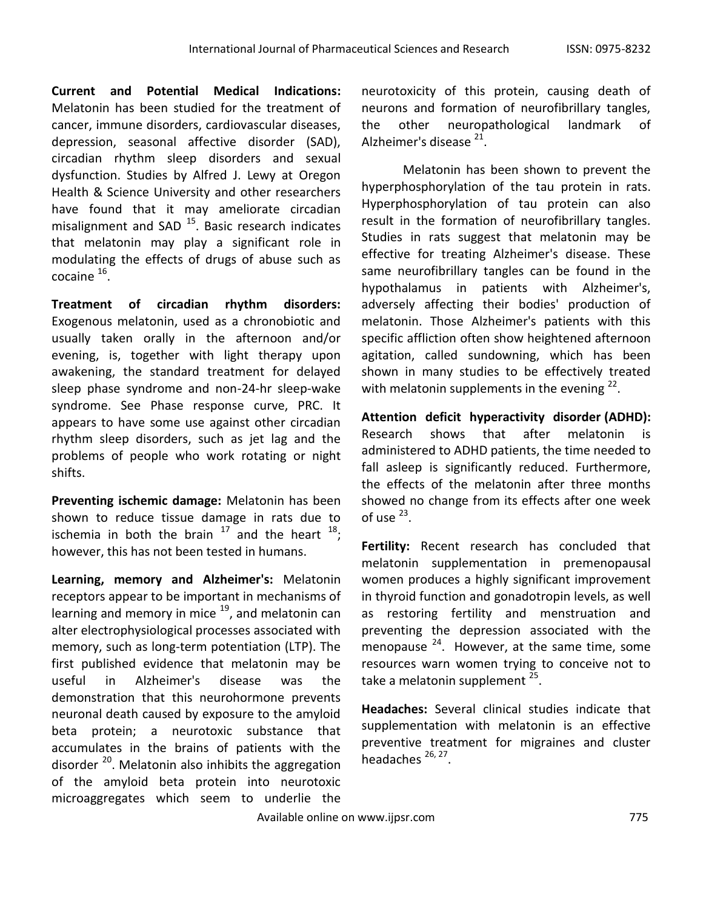**Current and Potential Medical Indications:** Melatonin has been studied for the treatment of cancer, immune disorders, cardiovascular diseases, depression, seasonal affective disorder (SAD), circadian rhythm sleep disorders and sexual dysfunction. Studies by Alfred J. Lewy at Oregon Health & Science University and other researchers have found that it may ameliorate circadian misalignment and SAD<sup>15</sup>. Basic research indicates that melatonin may play a significant role in modulating the effects of drugs of abuse such as  $\frac{16}{16}$ .

**Treatment of circadian rhythm disorders:** Exogenous melatonin, used as a chronobiotic and usually taken orally in the afternoon and/or evening, is, together with light therapy upon awakening, the standard treatment for delayed sleep phase syndrome and non-24-hr sleep-wake syndrome. See Phase response curve, PRC. It appears to have some use against other circadian rhythm sleep disorders, such as jet lag and the problems of people who work rotating or night shifts.

**Preventing ischemic damage:** Melatonin has been shown to reduce tissue damage in rats due to ischemia in both the brain  $17$  and the heart  $18$ ; however, this has not been tested in humans.

**Learning, memory and Alzheimer's:** Melatonin receptors appear to be important in mechanisms of learning and memory in mice  $19$ , and melatonin can alter electrophysiological processes associated with memory, such as long-term potentiation (LTP). The first published evidence that melatonin may be useful in Alzheimer's disease was the demonstration that this neurohormone prevents neuronal death caused by exposure to the amyloid beta protein; a neurotoxic substance that accumulates in the brains of patients with the disorder <sup>20</sup>. Melatonin also inhibits the aggregation of the amyloid beta protein into neurotoxic microaggregates which seem to underlie the

neurotoxicity of this protein, causing death of neurons and formation of neurofibrillary tangles, the other neuropathological landmark of Alzheimer's disease <sup>21</sup>.

Melatonin has been shown to prevent the hyperphosphorylation of the tau protein in rats. Hyperphosphorylation of tau protein can also result in the formation of neurofibrillary tangles. Studies in rats suggest that melatonin may be effective for treating Alzheimer's disease. These same neurofibrillary tangles can be found in the hypothalamus in patients with Alzheimer's, adversely affecting their bodies' production of melatonin. Those Alzheimer's patients with this specific affliction often show heightened afternoon agitation, called sundowning, which has been shown in many studies to be effectively treated with melatonin supplements in the evening  $^{22}$ .

**Attention deficit hyperactivity disorder (ADHD):** Research shows that after melatonin is administered to ADHD patients, the time needed to fall asleep is significantly reduced. Furthermore, the effects of the melatonin after three months showed no change from its effects after one week of use  $^{23}$ .

**Fertility:** Recent research has concluded that melatonin supplementation in premenopausal women produces a highly significant improvement in thyroid function and gonadotropin levels, as well as restoring fertility and menstruation and preventing the depression associated with the menopause  $^{24}$ . However, at the same time, some resources warn women trying to conceive not to take a melatonin supplement <sup>25</sup>.

**Headaches:** Several clinical studies indicate that supplementation with melatonin is an effective preventive treatment for migraines and cluster headaches <sup>26, 27</sup>.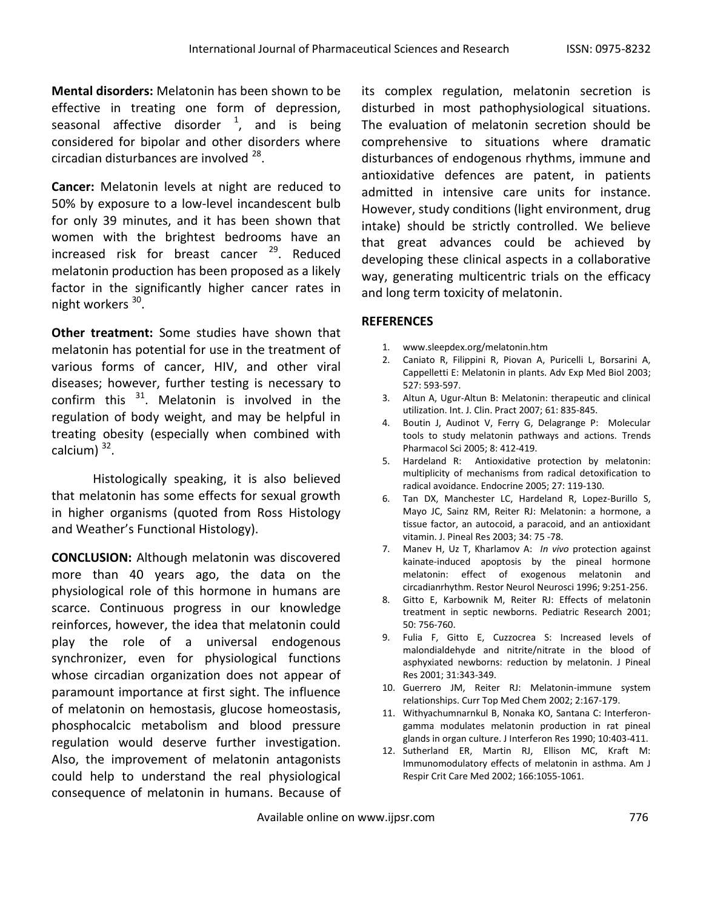**Mental disorders:** Melatonin has been shown to be effective in treating one form of depression, seasonal affective disorder  $^1$ , and is being considered for bipolar and other disorders where circadian disturbances are involved <sup>28</sup>.

**Cancer:** Melatonin levels at night are reduced to 50% by exposure to a low-level incandescent bulb for only 39 minutes, and it has been shown that women with the brightest bedrooms have an increased risk for breast cancer <sup>29</sup>. Reduced melatonin production has been proposed as a likely factor in the significantly higher cancer rates in night workers <sup>30</sup>.

**Other treatment:** Some studies have shown that melatonin has potential for use in the treatment of various forms of cancer, HIV, and other viral diseases; however, further testing is necessary to confirm this  $31$ . Melatonin is involved in the regulation of body weight, and may be helpful in treating obesity (especially when combined with calcium)<sup>32</sup>.

Histologically speaking, it is also believed that melatonin has some effects for sexual growth in higher organisms (quoted from Ross Histology and Weather's Functional Histology).

**CONCLUSION:** Although melatonin was discovered more than 40 years ago, the data on the physiological role of this hormone in humans are scarce. Continuous progress in our knowledge reinforces, however, the idea that melatonin could play the role of a universal endogenous synchronizer, even for physiological functions whose circadian organization does not appear of paramount importance at first sight. The influence of melatonin on hemostasis, glucose homeostasis, phosphocalcic metabolism and blood pressure regulation would deserve further investigation. Also, the improvement of melatonin antagonists could help to understand the real physiological consequence of melatonin in humans. Because of its complex regulation, melatonin secretion is disturbed in most pathophysiological situations. The evaluation of melatonin secretion should be comprehensive to situations where dramatic disturbances of endogenous rhythms, immune and antioxidative defences are patent, in patients admitted in intensive care units for instance. However, study conditions (light environment, drug intake) should be strictly controlled. We believe that great advances could be achieved by developing these clinical aspects in a collaborative way, generating multicentric trials on the efficacy and long term toxicity of melatonin.

## **REFERENCES**

- 1. www.sleepdex.org/melatonin.htm
- 2. Caniato R, Filippini R, Piovan A, Puricelli L, Borsarini A, Cappelletti E: Melatonin in plants. Adv Exp Med Biol 2003; 527: 593-597.
- 3. Altun A, Ugur-Altun B: Melatonin: therapeutic and clinical utilization. Int. J. Clin. Pract 2007; 61: 835-845.
- 4. Boutin J, Audinot V, Ferry G, Delagrange P: Molecular tools to study melatonin pathways and actions. Trends Pharmacol Sci 2005; 8: 412-419.
- 5. Hardeland R: Antioxidative protection by melatonin: multiplicity of mechanisms from radical detoxification to radical avoidance. Endocrine 2005; 27: 119-130.
- 6. Tan DX, Manchester LC, Hardeland R, Lopez-Burillo S, Mayo JC, Sainz RM, Reiter RJ: Melatonin: a hormone, a tissue factor, an autocoid, a paracoid, and an antioxidant vitamin. J. Pineal Res 2003; 34: 75 -78.
- 7. Manev H, Uz T, Kharlamov A: *In vivo* protection against kainate-induced apoptosis by the pineal hormone melatonin: effect of exogenous melatonin and circadianrhythm. Restor Neurol Neurosci 1996; 9:251-256.
- 8. Gitto E, Karbownik M, Reiter RJ: Effects of melatonin treatment in septic newborns. Pediatric Research 2001; 50: 756-760.
- 9. Fulia F, Gitto E, Cuzzocrea S: Increased levels of malondialdehyde and nitrite/nitrate in the blood of asphyxiated newborns: reduction by melatonin. J Pineal Res 2001; 31:343-349.
- 10. Guerrero JM, Reiter RJ: Melatonin-immune system relationships. Curr Top Med Chem 2002; 2:167-179.
- 11. Withyachumnarnkul B, Nonaka KO, Santana C: Interferongamma modulates melatonin production in rat pineal glands in organ culture. J Interferon Res 1990; 10:403-411.
- 12. Sutherland ER, Martin RJ, Ellison MC, Kraft M: Immunomodulatory effects of melatonin in asthma. Am J Respir Crit Care Med 2002; 166:1055-1061.

Available online on www.ijpsr.com **1996** and the set of the set of the set of the set of the set of the set of the set of the set of the set of the set of the set of the set of the set of the set of the set of the set of t